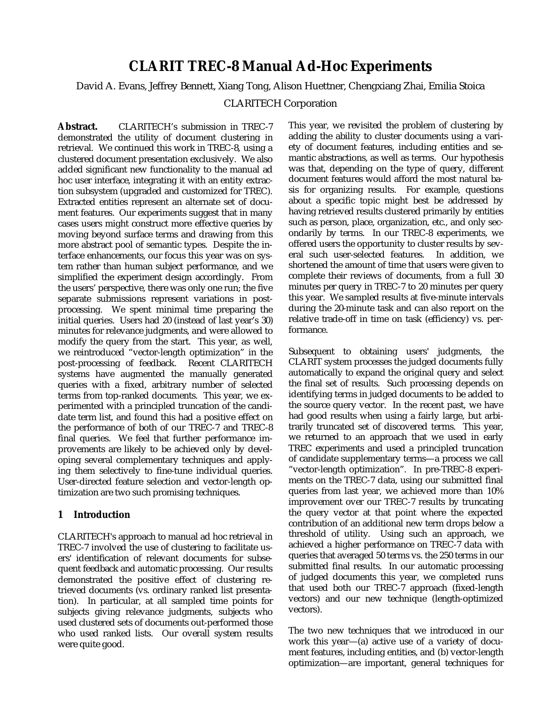# **CLARIT TREC-8 Manual Ad-Hoc Experiments**

David A. Evans, Jeffrey Bennett, Xiang Tong, Alison Huettner, Chengxiang Zhai, Emilia Stoica

## CLARITECH Corporation

**Abstract.** CLARITECH's submission in TREC-7 demonstrated the utility of document clustering in retrieval. We continued this work in TREC-8, using a clustered document presentation exclusively. We also added significant new functionality to the manual ad hoc user interface, integrating it with an entity extraction subsystem (upgraded and customized for TREC). Extracted entities represent an alternate set of document features. Our experiments suggest that in many cases users might construct more effective queries by moving beyond surface terms and drawing from this more abstract pool of semantic types. Despite the interface enhancements, our focus this year was on system rather than human subject performance, and we simplified the experiment design accordingly. From the users' perspective, there was only one run; the five separate submissions represent variations in postprocessing. We spent minimal time preparing the initial queries. Users had 20 (instead of last year's 30) minutes for relevance judgments, and were allowed to modify the query from the start. This year, as well, we reintroduced "vector-length optimization" in the post-processing of feedback. Recent CLARITECH systems have augmented the manually generated queries with a fixed, arbitrary number of selected terms from top-ranked documents. This year, we experimented with a principled truncation of the candidate term list, and found this had a positive effect on the performance of both of our TREC-7 and TREC-8 final queries. We feel that further performance improvements are likely to be achieved only by developing several complementary techniques and applying them selectively to fine-tune individual queries. User-directed feature selection and vector-length optimization are two such promising techniques.

## **1 Introduction**

CLARITECH's approach to manual ad hoc retrieval in TREC-7 involved the use of clustering to facilitate users' identification of relevant documents for subsequent feedback and automatic processing. Our results demonstrated the positive effect of clustering retrieved documents (vs. ordinary ranked list presentation). In particular, at all sampled time points for subjects giving relevance judgments, subjects who used clustered sets of documents out-performed those who used ranked lists. Our overall system results were quite good.

This year, we revisited the problem of clustering by adding the ability to cluster documents using a variety of document features, including entities and semantic abstractions, as well as terms. Our hypothesis was that, depending on the type of query, different document features would afford the most natural basis for organizing results. For example, questions about a specific topic might best be addressed by having retrieved results clustered primarily by entities such as person, place, organization, etc., and only secondarily by terms. In our TREC-8 experiments, we offered users the opportunity to cluster results by several such user-selected features. In addition, we shortened the amount of time that users were given to complete their reviews of documents, from a full 30 minutes per query in TREC-7 to 20 minutes per query this year. We sampled results at five-minute intervals during the 20-minute task and can also report on the relative trade-off in time on task (efficiency) vs. performance.

Subsequent to obtaining users' judgments, the CLARIT system processes the judged documents fully automatically to expand the original query and select the final set of results. Such processing depends on identifying terms in judged documents to be added to the source query vector. In the recent past, we have had good results when using a fairly large, but arbitrarily truncated set of discovered terms. This year, we returned to an approach that we used in early TREC experiments and used a principled truncation of candidate supplementary terms—a process we call "vector-length optimization". In pre-TREC-8 experiments on the TREC-7 data, using our submitted final queries from last year, we achieved more than 10% improvement over our TREC-7 results by truncating the query vector at that point where the expected contribution of an additional new term drops below a threshold of utility. Using such an approach, we achieved a higher performance on TREC-7 data with queries that averaged 50 terms vs. the 250 terms in our submitted final results. In our automatic processing of judged documents this year, we completed runs that used both our TREC-7 approach (fixed-length vectors) and our new technique (length-optimized vectors).

The two new techniques that we introduced in our work this year—(a) active use of a variety of document features, including entities, and (b) vector-length optimization—are important, general techniques for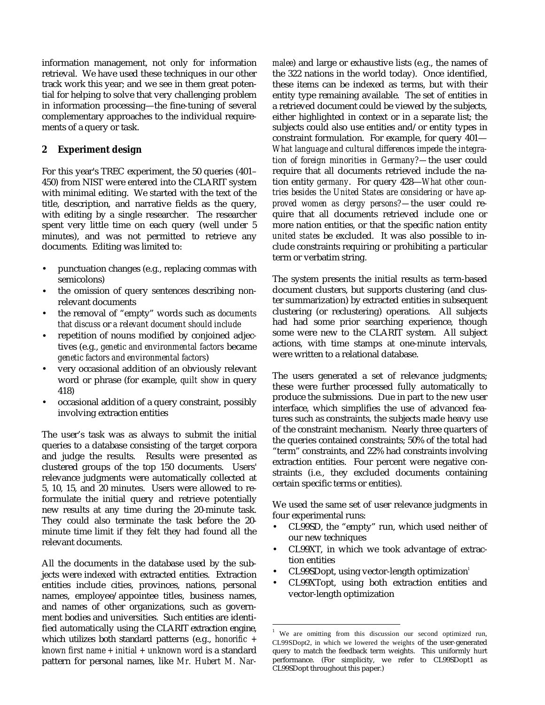information management, not only for information retrieval. We have used these techniques in our other track work this year; and we see in them great potential for helping to solve that very challenging problem in information processing—the fine-tuning of several complementary approaches to the individual requirements of a query or task.

# **2 Experiment design**

For this year's TREC experiment, the 50 queries (401– 450) from NIST were entered into the CLARIT system with minimal editing. We started with the text of the title, description, and narrative fields as the query, with editing by a single researcher. The researcher spent very little time on each query (well under 5 minutes), and was not permitted to retrieve any documents. Editing was limited to:

- punctuation changes (e.g., replacing commas with semicolons)
- the omission of query sentences describing nonrelevant documents
- the removal of "empty" words such as *documents that discuss* or *a relevant document should include*
- repetition of nouns modified by conjoined adjectives (e.g., *genetic and environmental factors* became *genetic factors and environmental factors*)
- very occasional addition of an obviously relevant word or phrase (for example, *quilt show* in query 418)
- occasional addition of a query constraint, possibly involving extraction entities

The user's task was as always to submit the initial queries to a database consisting of the target corpora and judge the results. Results were presented as clustered groups of the top 150 documents. Users' relevance judgments were automatically collected at 5, 10, 15, and 20 minutes. Users were allowed to reformulate the initial query and retrieve potentially new results at any time during the 20-minute task. They could also terminate the task before the 20 minute time limit if they felt they had found all the relevant documents.

All the documents in the database used by the subjects were indexed with extracted entities. Extraction entities include cities, provinces, nations, personal names, employee/appointee titles, business names, and names of other organizations, such as government bodies and universities. Such entities are identified automatically using the CLARIT extraction engine, which utilizes both standard patterns (e.g., *honorific + known first name + initial + unknown word* is a standard pattern for personal names, like *Mr. Hubert M. Nar-* *malee*) and large or exhaustive lists (e.g., the names of the 322 nations in the world today). Once identified, these items can be indexed as terms, but with their entity type remaining available. The set of entities in a retrieved document could be viewed by the subjects, either highlighted in context or in a separate list; the subjects could also use entities and/or entity types in constraint formulation. For example, for query 401— *What language and cultural differences impede the integration of foreign minorities in Germany?—*the user could require that all documents retrieved include the nation entity *germany*. For query 428—*What other countries besides the United States are considering or have approved women as clergy persons?—*the user could require that all documents retrieved include one or more nation entities, or that the specific nation entity *united states* be excluded. It was also possible to include constraints requiring or prohibiting a particular term or verbatim string.

The system presents the initial results as term-based document clusters, but supports clustering (and cluster summarization) by extracted entities in subsequent clustering (or reclustering) operations. All subjects had had some prior searching experience, though some were new to the CLARIT system. All subject actions, with time stamps at one-minute intervals, were written to a relational database.

The users generated a set of relevance judgments; these were further processed fully automatically to produce the submissions. Due in part to the new user interface, which simplifies the use of advanced features such as constraints, the subjects made heavy use of the constraint mechanism. Nearly three quarters of the queries contained constraints; 50% of the total had "term" constraints, and 22% had constraints involving extraction entities. Four percent were negative constraints (i.e., they excluded documents containing certain specific terms or entities).

We used the same set of user relevance judgments in four experimental runs:

- CL99SD, the "empty" run, which used neither of our new techniques
- CL99XT, in which we took advantage of extraction entities
- CL99SDopt, using vector-length optimization<sup>1</sup>

 $\overline{a}$ 

• CL99XTopt, using both extraction entities and vector-length optimization

<sup>&</sup>lt;sup>1</sup> We are omitting from this discussion our second optimized run, CL99SDopt2, in which we lowered the weights of the user-generated query to match the feedback term weights. This uniformly hurt performance. (For simplicity, we refer to CL99SDopt1 as CL99SDopt throughout this paper.)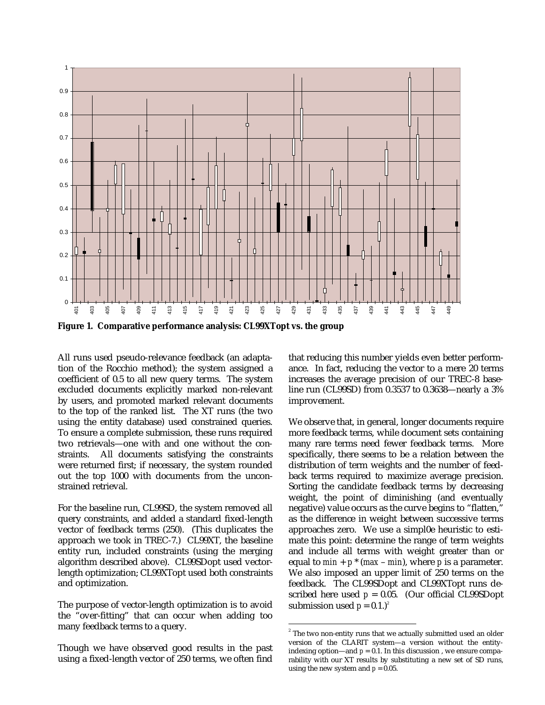

All runs used pseudo-relevance feedback (an adaptation of the Rocchio method); the system assigned a coefficient of 0.5 to all new query terms. The system excluded documents explicitly marked non-relevant by users, and promoted marked relevant documents to the top of the ranked list. The XT runs (the two using the entity database) used constrained queries. To ensure a complete submission, these runs required two retrievals—one with and one without the constraints. All documents satisfying the constraints were returned first; if necessary, the system rounded out the top 1000 with documents from the unconstrained retrieval.

For the baseline run, CL99SD, the system removed all query constraints, and added a standard fixed-length vector of feedback terms (250). (This duplicates the approach we took in TREC-7.) CL99XT, the baseline entity run, included constraints (using the merging algorithm described above). CL99SDopt used vectorlength optimization; CL99XTopt used both constraints and optimization.

The purpose of vector-length optimization is to avoid the "over-fitting" that can occur when adding too many feedback terms to a query.

Though we have observed good results in the past using a fixed-length vector of 250 terms, we often find that reducing this number yields even better performance. In fact, reducing the vector to a mere 20 terms increases the average precision of our TREC-8 baseline run (CL99SD) from 0.3537 to 0.3638—nearly a 3% improvement.

We observe that, in general, longer documents require more feedback terms, while document sets containing many rare terms need fewer feedback terms. More specifically, there seems to be a relation between the distribution of term weights and the number of feedback terms required to maximize average precision. Sorting the candidate feedback terms by decreasing weight, the point of diminishing (and eventually negative) value occurs as the curve begins to "flatten," as the difference in weight between successive terms approaches zero. We use a simpl0e heuristic to estimate this point: determine the range of term weights and include all terms with weight greater than or equal to  $min + p * (max - min)$ , where *p* is a parameter. We also imposed an upper limit of 250 terms on the feedback. The CL99SDopt and CL99XTopt runs described here used  $p = 0.05$ . (Our official CL99SDopt submission used  $p = 0.1$ .)<sup>2</sup>

 $\overline{a}$ 

 $^{\text{2}}$  The two non-entity runs that we actually submitted used an older version of the CLARIT system—a version without the entityindexing option—and  $p = 0.1$ . In this discussion, we ensure comparability with our XT results by substituting a new set of SD runs, using the new system and  $p = 0.05$ .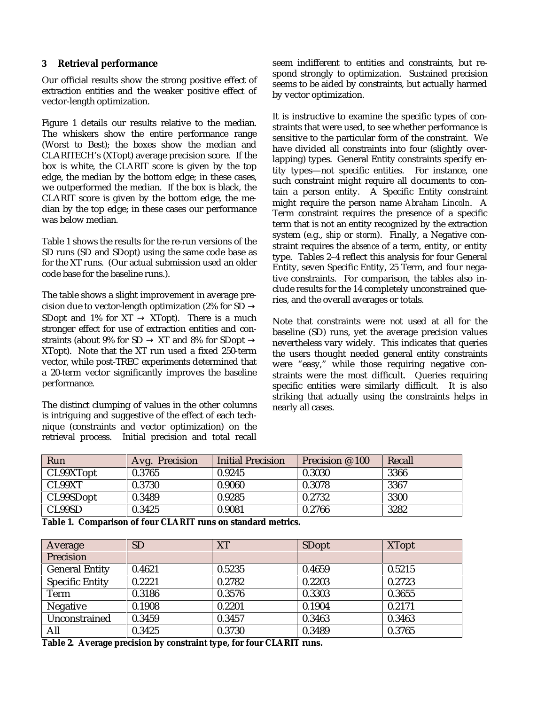#### **3 Retrieval performance**

Our official results show the strong positive effect of extraction entities and the weaker positive effect of vector-length optimization.

Figure 1 details our results relative to the median. The whiskers show the entire performance range (Worst to Best); the boxes show the median and CLARITECH's (XTopt) average precision score. If the box is white, the CLARIT score is given by the top edge, the median by the bottom edge; in these cases, we outperformed the median. If the box is black, the CLARIT score is given by the bottom edge, the median by the top edge; in these cases our performance was below median.

Table 1 shows the results for the re-run versions of the SD runs (SD and SDopt) using the same code base as for the XT runs. (Our actual submission used an older code base for the baseline runs.).

The table shows a slight improvement in average precision due to vector-length optimization (2% for SD  $\rightarrow$ SDopt and 1% for  $XT \rightarrow XT$ opt). There is a much stronger effect for use of extraction entities and constraints (about 9% for SD  $\rightarrow$  XT and 8% for SDopt  $\rightarrow$ XTopt). Note that the XT run used a fixed 250-term vector, while post-TREC experiments determined that a 20-term vector significantly improves the baseline performance.

The distinct clumping of values in the other columns is intriguing and suggestive of the effect of each technique (constraints and vector optimization) on the retrieval process. Initial precision and total recall seem indifferent to entities and constraints, but respond strongly to optimization. Sustained precision seems to be aided by constraints, but actually harmed by vector optimization.

It is instructive to examine the specific types of constraints that were used, to see whether performance is sensitive to the particular form of the constraint. We have divided all constraints into four (slightly overlapping) types. General Entity constraints specify entity types—not specific entities. For instance, one such constraint might require all documents to contain a person entity. A Specific Entity constraint might require the person name *Abraham Lincoln*. A Term constraint requires the presence of a specific term that is not an entity recognized by the extraction system (e.g., *ship* or *storm*). Finally, a Negative constraint requires the *absence* of a term, entity, or entity type. Tables 2–4 reflect this analysis for four General Entity, seven Specific Entity, 25 Term, and four negative constraints. For comparison, the tables also include results for the 14 completely unconstrained queries, and the overall averages or totals.

Note that constraints were not used at all for the baseline (SD) runs, yet the average precision values nevertheless vary widely. This indicates that queries the users thought needed general entity constraints were "easy," while those requiring negative constraints were the most difficult. Queries requiring specific entities were similarly difficult. It is also striking that actually using the constraints helps in nearly all cases.

| Run       | Avg. Precision | Initial Precision | Precision $\varnothing$ 100 | Recall |
|-----------|----------------|-------------------|-----------------------------|--------|
| CL99XTopt | 0.3765         | 0.9245            | 0.3030                      | 3366   |
| CL99XT    | 0.3730         | 0.9060            | 0.3078                      | 3367   |
| CL99SDopt | 0.3489         | 0.9285            | 0.2732                      | 3300   |
| CL99SD    | 0.3425         | 0.9081            | 0.2766                      | 3282   |

**Table 1. Comparison of four CLARIT runs on standard metrics.**

| Average                | <b>SD</b> | <b>XT</b> | <b>SDopt</b> | <b>XTopt</b> |
|------------------------|-----------|-----------|--------------|--------------|
| Precision              |           |           |              |              |
| <b>General Entity</b>  | 0.4621    | 0.5235    | 0.4659       | 0.5215       |
| <b>Specific Entity</b> | 0.2221    | 0.2782    | 0.2203       | 0.2723       |
| Term                   | 0.3186    | 0.3576    | 0.3303       | 0.3655       |
| <b>Negative</b>        | 0.1908    | 0.2201    | 0.1904       | 0.2171       |
| Unconstrained          | 0.3459    | 0.3457    | 0.3463       | 0.3463       |
| All                    | 0.3425    | 0.3730    | 0.3489       | 0.3765       |

**Table 2. Average precision by constraint type, for four CLARIT runs.**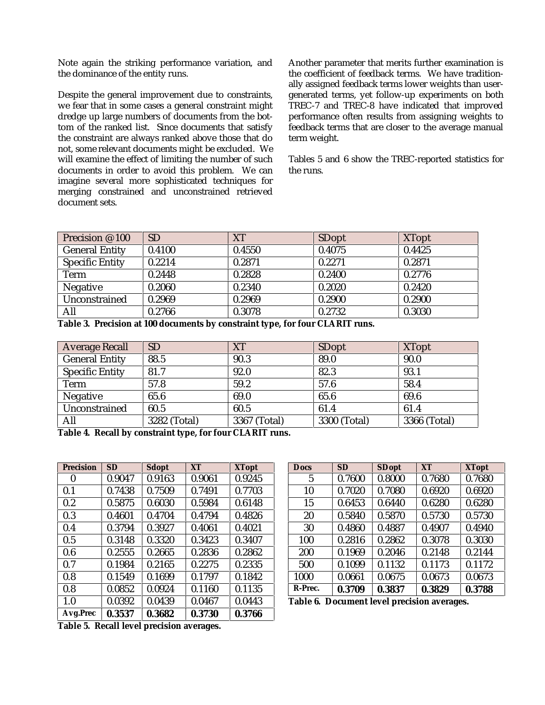Note again the striking performance variation, and the dominance of the entity runs.

Despite the general improvement due to constraints, we fear that in some cases a general constraint might dredge up large numbers of documents from the bottom of the ranked list. Since documents that satisfy the constraint are always ranked above those that do not, some relevant documents might be excluded. We will examine the effect of limiting the number of such documents in order to avoid this problem. We can imagine several more sophisticated techniques for merging constrained and unconstrained retrieved document sets.

Another parameter that merits further examination is the coefficient of feedback terms. We have traditionally assigned feedback terms lower weights than usergenerated terms, yet follow-up experiments on both TREC-7 and TREC-8 have indicated that improved performance often results from assigning weights to feedback terms that are closer to the average manual term weight.

Tables 5 and 6 show the TREC-reported statistics for the runs.

| Precision @ 100        | <b>SD</b> | XT     | <b>SDopt</b> | <b>XTopt</b> |
|------------------------|-----------|--------|--------------|--------------|
| <b>General Entity</b>  | 0.4100    | 0.4550 | 0.4075       | 0.4425       |
| <b>Specific Entity</b> | 0.2214    | 0.2871 | 0.2271       | 0.2871       |
| Term                   | 0.2448    | 0.2828 | 0.2400       | 0.2776       |
| <b>Negative</b>        | 0.2060    | 0.2340 | 0.2020       | 0.2420       |
| Unconstrained          | 0.2969    | 0.2969 | 0.2900       | 0.2900       |
| All                    | 0.2766    | 0.3078 | 0.2732       | 0.3030       |

**Table 3. Precision at 100 documents by constraint type, for four CLARIT runs.**

| <b>Average Recall</b>  | <b>SD</b>    | <b>XT</b>    | <b>SDopt</b> | <b>XTopt</b> |
|------------------------|--------------|--------------|--------------|--------------|
| <b>General Entity</b>  | 88.5         | 90.3         | 89.0         | 90.0         |
| <b>Specific Entity</b> | 81.7         | 92.0         | 82.3         | 93.1         |
| Term                   | 57.8         | 59.2         | 57.6         | 58.4         |
| Negative               | 65.6         | 69.0         | 65.6         | 69.6         |
| Unconstrained          | 60.5         | 60.5         | 61.4         | 61.4         |
| All                    | 3282 (Total) | 3367 (Total) | 3300 (Total) | 3366 (Total) |

**Table 4. Recall by constraint type, for four CLARIT runs.**

| <b>Precision</b> | <b>SD</b> | <b>Sdopt</b> | <b>XT</b> | <b>XTopt</b> |
|------------------|-----------|--------------|-----------|--------------|
| 0                | 0.9047    | 0.9163       | 0.9061    | 0.9245       |
| 0.1              | 0.7438    | 0.7509       | 0.7491    | 0.7703       |
| 0.2              | 0.5875    | 0.6030       | 0.5984    | 0.6148       |
| 0.3              | 0.4601    | 0.4704       | 0.4794    | 0.4826       |
| 0.4              | 0.3794    | 0.3927       | 0.4061    | 0.4021       |
| 0.5              | 0.3148    | 0.3320       | 0.3423    | 0.3407       |
| 0.6              | 0.2555    | 0.2665       | 0.2836    | 0.2862       |
| 0.7              | 0.1984    | 0.2165       | 0.2275    | 0.2335       |
| 0.8              | 0.1549    | 0.1699       | 0.1797    | 0.1842       |
| 0.8              | 0.0852    | 0.0924       | 0.1160    | 0.1135       |
| 1.0              | 0.0392    | 0.0439       | 0.0467    | 0.0443       |
| Avg.Prec         | 0.3537    | 0.3682       | 0.3730    | 0.3766       |

| <b>Docs</b> | <b>SD</b> | <b>SDopt</b> | <b>XT</b> | <b>XTopt</b> |
|-------------|-----------|--------------|-----------|--------------|
| 5           | 0.7600    | 0.8000       | 0.7680    | 0.7680       |
| 10          | 0.7020    | 0.7080       | 0.6920    | 0.6920       |
| 15          | 0.6453    | 0.6440       | 0.6280    | 0.6280       |
| 20          | 0.5840    | 0.5870       | 0.5730    | 0.5730       |
| 30          | 0.4860    | 0.4887       | 0.4907    | 0.4940       |
| 100         | 0.2816    | 0.2862       | 0.3078    | 0.3030       |
| 200         | 0.1969    | 0.2046       | 0.2148    | 0.2144       |
| 500         | 0.1099    | 0.1132       | 0.1173    | 0.1172       |
| 1000        | 0.0661    | 0.0675       | 0.0673    | 0.0673       |
| R-Prec.     | 0.3709    | 0.3837       | 0.3829    | 0.3788       |

**Table 6. Document level precision averages.**

**Table 5. Recall level precision averages.**